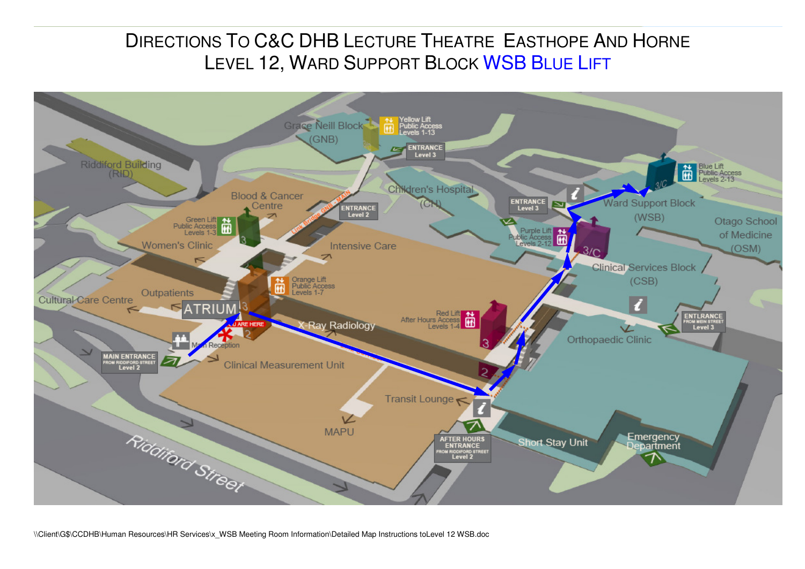## DIRECTIONS TO C&C DHB LECTURE THEATRE EASTHOPE AND HORNE<br>LEVEL 19 WARR SURRORE BLOCK WISD BLUE LIFE LEVEL 12, WARD SUPPORT BLOCK <mark>WSB B</mark>LUE LIFT